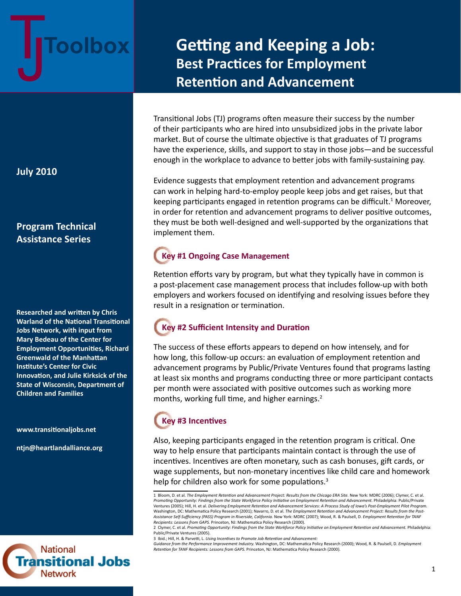

# **Getting and Keeping a Job: Best Practices for Employment Retention and Advancement**

Transitional Jobs (TJ) programs often measure their success by the number of their participants who are hired into unsubsidized jobs in the private labor market. But of course the ultimate objective is that graduates of TJ programs have the experience, skills, and support to stay in those jobs—and be successful enough in the workplace to advance to better jobs with family-sustaining pay.

Evidence suggests that employment retention and advancement programs can work in helping hard-to-employ people keep jobs and get raises, but that keeping participants engaged in retention programs can be difficult.<sup>1</sup> Moreover, in order for retention and advancement programs to deliver positive outcomes, they must be both well-designed and well-supported by the organizations that implement them.

## **Key #1 Ongoing Case Management**

Retention efforts vary by program, but what they typically have in common is a post-placement case management process that includes follow-up with both employers and workers focused on identifying and resolving issues before they result in a resignation or termination.

## **Key #2 Sufficient Intensity and Duration**

The success of these efforts appears to depend on how intensely, and for how long, this follow-up occurs: an evaluation of employment retention and advancement programs by Public/Private Ventures found that programs lasting at least six months and programs conducting three or more participant contacts per month were associated with positive outcomes such as working more months, working full time, and higher earnings.<sup>2</sup>

# **Key #3 Incentives**

Also, keeping participants engaged in the retention program is critical. One way to help ensure that participants maintain contact is through the use of incentives. Incentives are often monetary, such as cash bonuses, gift cards, or wage supplements, but non-monetary incentives like child care and homework help for children also work for some populations.<sup>3</sup>

#### **July 2010**

## **Program Technical Assistance Series**

**Researched and written by Chris Warland of the National Transitional Jobs Network, with input from Mary Bedeau of the Center for Employment Opportunities, Richard Greenwald of the Manhattan Institute's Center for Civic Innovation, and Julie Kirksick of the State of Wisconsin, Department of Children and Families**

**www.transitionaljobs.net**

**ntjn@heartlandalliance.org**



<sup>1</sup> Bloom, D. et al. The Employment Retention and Advancement Project: Results from the Chicago ERA Site. New York: MDRC (2006); Clymer, C. et al. Promoting Opportunity: Findings from the State Workforce Policy Initiative on Employment Retention and Advancement. Philadelphia: Public/Private Ventures (2005); Hill, H. et al. *Delivering Employment Retention and Advancement Services: A Process Study of Iowa's Post-Employment Pilot Program.*  Washington, DC: Mathematica Policy Research (2001); Navarro, D. et al. *The Employment Retention and Advancement Project: Results from the Post-Assistance Self-Sufficiency (PASS) Program in Riverside, California.* New York: MDRC (2007); Wood, R. & Paulsell, D. *Employment Retention for TANF Recipients: Lessons from GAPS.* Princeton, NJ: Mathematica Policy Research (2000).

<sup>2</sup> Clymer, C. et al. *Promoting Opportunity: Findings from the State Workforce Policy Initiative on Employment Retention and Advancement.* Philadelphia: Public/Private Ventures (2005).

<sup>3</sup> Ibid.; Hill, H. & Parvetti, L. *Using Incentives to Promote Job Retention and Advancement:*

*Guidance from the Performance Improvement Industry.* Washington, DC: Mathematica Policy Research (2000); Wood, R. & Paulsell, D. *Employment Retention for TANF Recipients: Lessons from GAPS.* Princeton, NJ: Mathematica Policy Research (2000).